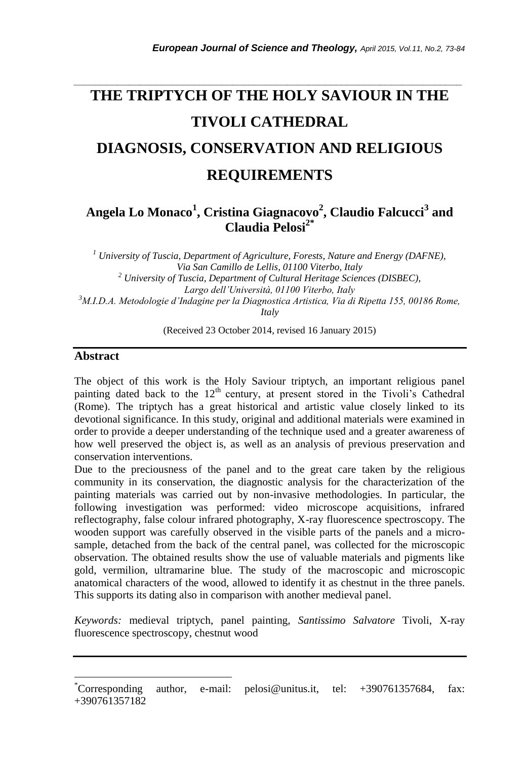# **THE TRIPTYCH OF THE HOLY SAVIOUR IN THE TIVOLI CATHEDRAL DIAGNOSIS, CONSERVATION AND RELIGIOUS REQUIREMENTS**

*\_\_\_\_\_\_\_\_\_\_\_\_\_\_\_\_\_\_\_\_\_\_\_\_\_\_\_\_\_\_\_\_\_\_\_\_\_\_\_\_\_\_\_\_\_\_\_\_\_\_\_\_\_\_\_\_\_\_\_\_\_\_\_\_\_\_\_\_\_\_\_*

## **Angela Lo Monaco<sup>1</sup> , Cristina Giagnacovo<sup>2</sup> , Claudio Falcucci<sup>3</sup> and Claudia Pelosi2\***

*<sup>1</sup> University of Tuscia, Department of Agriculture, Forests, Nature and Energy (DAFNE), Via San Camillo de Lellis, 01100 Viterbo, Italy <sup>2</sup> University of Tuscia, Department of Cultural Heritage Sciences (DISBEC), Largo dell'Università, 01100 Viterbo, Italy <sup>3</sup>M.I.D.A. Metodologie d'Indagine per la Diagnostica Artistica, Via di Ripetta 155, 00186 Rome, Italy*

(Received 23 October 2014, revised 16 January 2015)

### **Abstract**

l

The object of this work is the Holy Saviour triptych, an important religious panel painting dated back to the 12<sup>th</sup> century, at present stored in the Tivoli's Cathedral (Rome). The triptych has a great historical and artistic value closely linked to its devotional significance. In this study, original and additional materials were examined in order to provide a deeper understanding of the technique used and a greater awareness of how well preserved the object is, as well as an analysis of previous preservation and conservation interventions.

Due to the preciousness of the panel and to the great care taken by the religious community in its conservation, the diagnostic analysis for the characterization of the painting materials was carried out by non-invasive methodologies. In particular, the following investigation was performed: video microscope acquisitions, infrared reflectography, false colour infrared photography, X-ray fluorescence spectroscopy. The wooden support was carefully observed in the visible parts of the panels and a microsample, detached from the back of the central panel, was collected for the microscopic observation. The obtained results show the use of valuable materials and pigments like gold, vermilion, ultramarine blue. The study of the macroscopic and microscopic anatomical characters of the wood, allowed to identify it as chestnut in the three panels. This supports its dating also in comparison with another medieval panel.

*Keywords:* medieval triptych, panel painting, *Santissimo Salvatore* Tivoli, X-ray fluorescence spectroscopy, chestnut wood

<sup>\*</sup>Corresponding author, e-mail: pelosi@unitus.it, tel: +390761357684, fax: +390761357182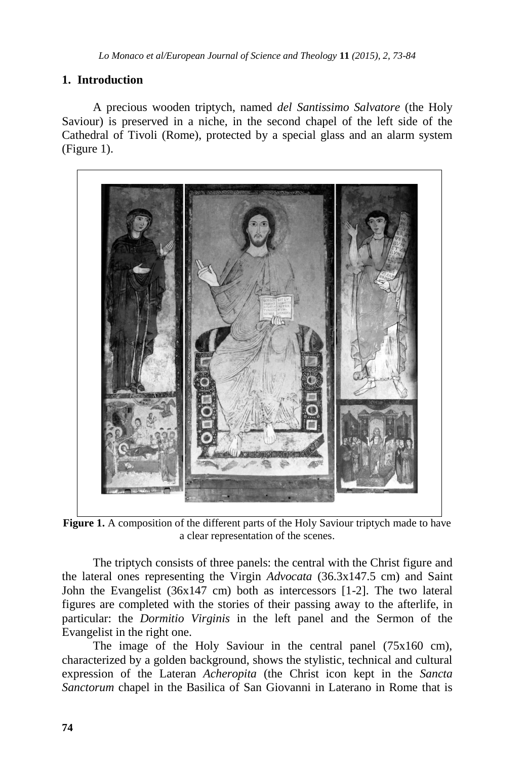## **1. Introduction**

A precious wooden triptych, named *del Santissimo Salvatore* (the Holy Saviour) is preserved in a niche, in the second chapel of the left side of the Cathedral of Tivoli (Rome), protected by a special glass and an alarm system (Figure 1).



Figure 1. A composition of the different parts of the Holy Saviour triptych made to have a clear representation of the scenes.

The triptych consists of three panels: the central with the Christ figure and the lateral ones representing the Virgin *Advocata* (36.3x147.5 cm) and Saint John the Evangelist (36x147 cm) both as intercessors [1-2]. The two lateral figures are completed with the stories of their passing away to the afterlife, in particular: the *Dormitio Virginis* in the left panel and the Sermon of the Evangelist in the right one.

The image of the Holy Saviour in the central panel (75x160 cm), characterized by a golden background, shows the stylistic, technical and cultural expression of the Lateran *Acheropita* (the Christ icon kept in the *Sancta Sanctorum* chapel in the Basilica of San Giovanni in Laterano in Rome that is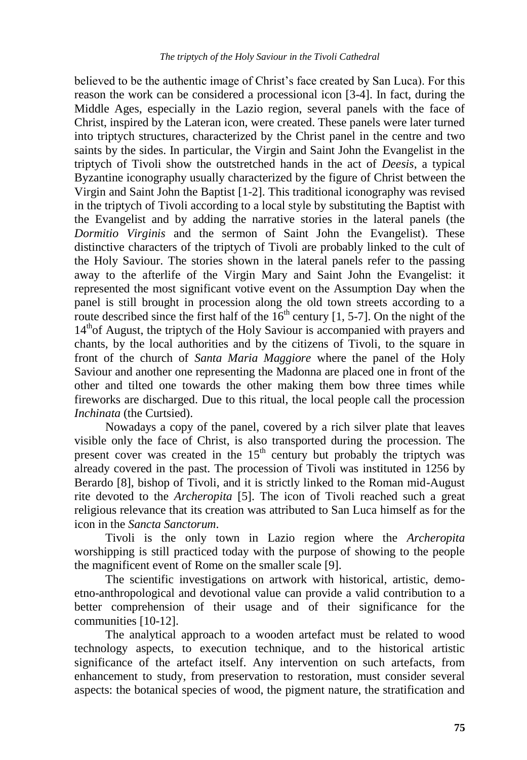believed to be the authentic image of Christ"s face created by San Luca). For this reason the work can be considered a processional icon [3-4]. In fact, during the Middle Ages, especially in the Lazio region, several panels with the face of Christ, inspired by the Lateran icon, were created. These panels were later turned into triptych structures, characterized by the Christ panel in the centre and two saints by the sides. In particular, the Virgin and Saint John the Evangelist in the triptych of Tivoli show the outstretched hands in the act of *Deesis*, a typical Byzantine iconography usually characterized by the figure of Christ between the Virgin and Saint John the Baptist [1-2]. This traditional iconography was revised in the triptych of Tivoli according to a local style by substituting the Baptist with the Evangelist and by adding the narrative stories in the lateral panels (the *Dormitio Virginis* and the sermon of Saint John the Evangelist). These distinctive characters of the triptych of Tivoli are probably linked to the cult of the Holy Saviour. The stories shown in the lateral panels refer to the passing away to the afterlife of the Virgin Mary and Saint John the Evangelist: it represented the most significant votive event on the Assumption Day when the panel is still brought in procession along the old town streets according to a route described since the first half of the  $16<sup>th</sup>$  century [1, 5-7]. On the night of the  $14<sup>th</sup>$  of August, the triptych of the Holy Saviour is accompanied with prayers and chants, by the local authorities and by the citizens of Tivoli, to the square in front of the church of *Santa Maria Maggiore* where the panel of the Holy Saviour and another one representing the Madonna are placed one in front of the other and tilted one towards the other making them bow three times while fireworks are discharged. Due to this ritual, the local people call the procession *Inchinata* (the Curtsied).

Nowadays a copy of the panel, covered by a rich silver plate that leaves visible only the face of Christ, is also transported during the procession. The present cover was created in the  $15<sup>th</sup>$  century but probably the triptych was already covered in the past. The procession of Tivoli was instituted in 1256 by Berardo [8], bishop of Tivoli, and it is strictly linked to the Roman mid-August rite devoted to the *Archeropita* [5]. The icon of Tivoli reached such a great religious relevance that its creation was attributed to San Luca himself as for the icon in the *Sancta Sanctorum*.

Tivoli is the only town in Lazio region where the *Archeropita* worshipping is still practiced today with the purpose of showing to the people the magnificent event of Rome on the smaller scale [9].

The scientific investigations on artwork with historical, artistic, demoetno-anthropological and devotional value can provide a valid contribution to a better comprehension of their usage and of their significance for the communities [10-12].

The analytical approach to a wooden artefact must be related to wood technology aspects, to execution technique, and to the historical artistic significance of the artefact itself. Any intervention on such artefacts, from enhancement to study, from preservation to restoration, must consider several aspects: the botanical species of wood, the pigment nature, the stratification and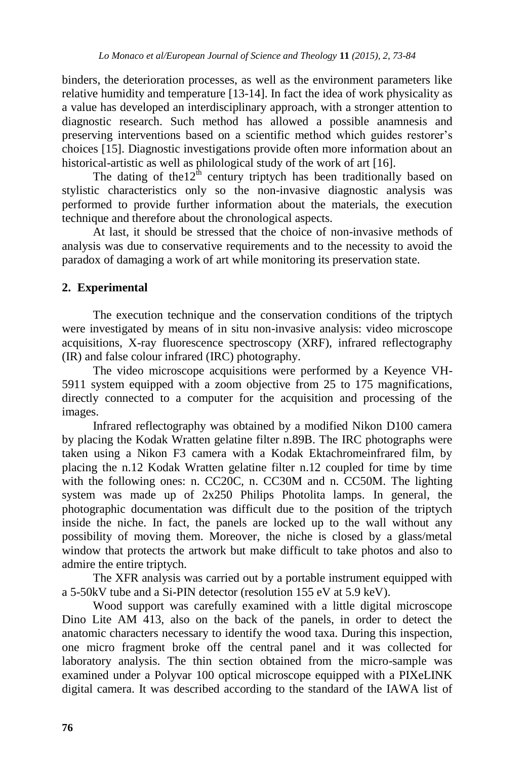binders, the deterioration processes, as well as the environment parameters like relative humidity and temperature [13-14]. In fact the idea of work physicality as a value has developed an interdisciplinary approach, with a stronger attention to diagnostic research. Such method has allowed a possible anamnesis and preserving interventions based on a scientific method which guides restorer"s choices [15]. Diagnostic investigations provide often more information about an historical-artistic as well as philological study of the work of art [16].

The dating of the  $12^{\text{th}}$  century triptych has been traditionally based on stylistic characteristics only so the non-invasive diagnostic analysis was performed to provide further information about the materials, the execution technique and therefore about the chronological aspects.

At last, it should be stressed that the choice of non-invasive methods of analysis was due to conservative requirements and to the necessity to avoid the paradox of damaging a work of art while monitoring its preservation state.

## **2. Experimental**

The execution technique and the conservation conditions of the triptych were investigated by means of in situ non-invasive analysis: video microscope acquisitions, X-ray fluorescence spectroscopy (XRF), infrared reflectography (IR) and false colour infrared (IRC) photography.

The video microscope acquisitions were performed by a Keyence VH-5911 system equipped with a zoom objective from 25 to 175 magnifications, directly connected to a computer for the acquisition and processing of the images.

Infrared reflectography was obtained by a modified Nikon D100 camera by placing the Kodak Wratten gelatine filter n.89B. The IRC photographs were taken using a Nikon F3 camera with a Kodak Ektachromeinfrared film, by placing the n.12 Kodak Wratten gelatine filter n.12 coupled for time by time with the following ones: n. CC20C, n. CC30M and n. CC50M. The lighting system was made up of 2x250 Philips Photolita lamps. In general, the photographic documentation was difficult due to the position of the triptych inside the niche. In fact, the panels are locked up to the wall without any possibility of moving them. Moreover, the niche is closed by a glass/metal window that protects the artwork but make difficult to take photos and also to admire the entire triptych.

The XFR analysis was carried out by a portable instrument equipped with a 5-50kV tube and a Si-PIN detector (resolution 155 eV at 5.9 keV).

Wood support was carefully examined with a little digital microscope Dino Lite AM 413, also on the back of the panels, in order to detect the anatomic characters necessary to identify the wood taxa. During this inspection, one micro fragment broke off the central panel and it was collected for laboratory analysis. The thin section obtained from the micro-sample was examined under a Polyvar 100 optical microscope equipped with a PIXeLINK digital camera. It was described according to the standard of the IAWA list of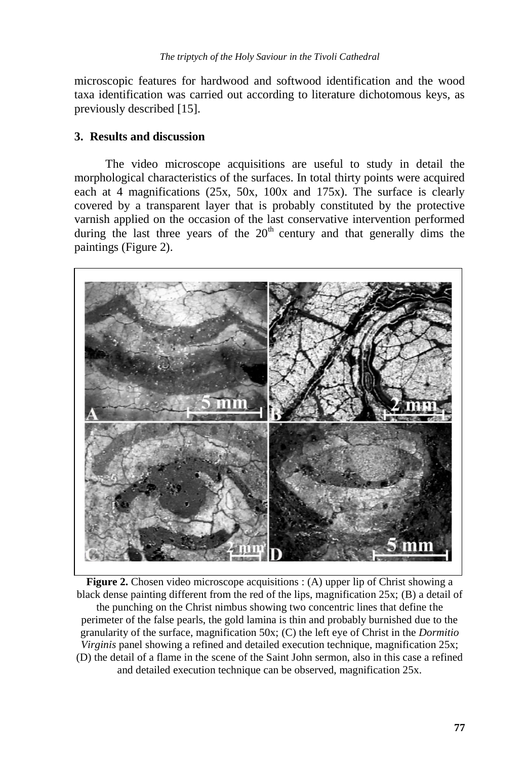microscopic features for hardwood and softwood identification and the wood taxa identification was carried out according to literature dichotomous keys, as previously described [15].

## **3. Results and discussion**

The video microscope acquisitions are useful to study in detail the morphological characteristics of the surfaces. In total thirty points were acquired each at 4 magnifications (25x, 50x, 100x and 175x). The surface is clearly covered by a transparent layer that is probably constituted by the protective varnish applied on the occasion of the last conservative intervention performed during the last three years of the  $20<sup>th</sup>$  century and that generally dims the paintings (Figure 2).



**Figure 2.** Chosen video microscope acquisitions : (A) upper lip of Christ showing a black dense painting different from the red of the lips, magnification 25x; (B) a detail of the punching on the Christ nimbus showing two concentric lines that define the perimeter of the false pearls, the gold lamina is thin and probably burnished due to the granularity of the surface, magnification 50x; (C) the left eye of Christ in the *Dormitio Virginis* panel showing a refined and detailed execution technique, magnification 25x; (D) the detail of a flame in the scene of the Saint John sermon, also in this case a refined and detailed execution technique can be observed, magnification 25x.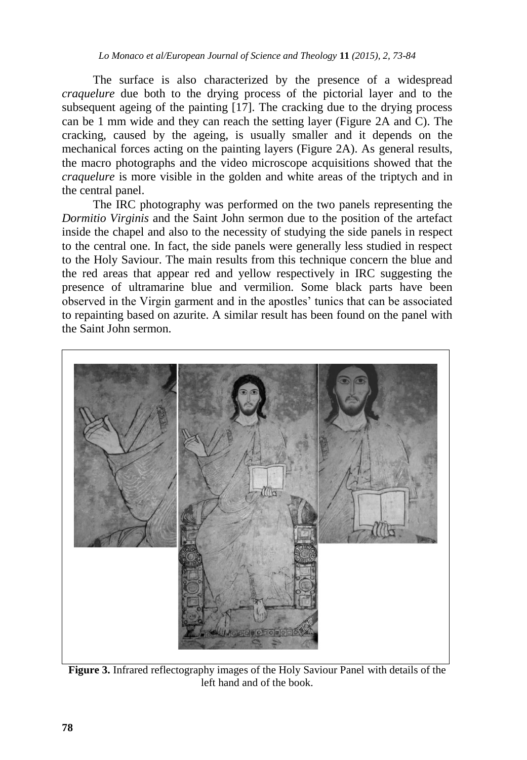The surface is also characterized by the presence of a widespread *craquelure* due both to the drying process of the pictorial layer and to the subsequent ageing of the painting [17]. The cracking due to the drying process can be 1 mm wide and they can reach the setting layer (Figure 2A and C). The cracking, caused by the ageing, is usually smaller and it depends on the mechanical forces acting on the painting layers (Figure 2A). As general results, the macro photographs and the video microscope acquisitions showed that the *craquelure* is more visible in the golden and white areas of the triptych and in the central panel.

The IRC photography was performed on the two panels representing the *Dormitio Virginis* and the Saint John sermon due to the position of the artefact inside the chapel and also to the necessity of studying the side panels in respect to the central one. In fact, the side panels were generally less studied in respect to the Holy Saviour. The main results from this technique concern the blue and the red areas that appear red and yellow respectively in IRC suggesting the presence of ultramarine blue and vermilion. Some black parts have been observed in the Virgin garment and in the apostles" tunics that can be associated to repainting based on azurite. A similar result has been found on the panel with the Saint John sermon.



**Figure 3.** Infrared reflectography images of the Holy Saviour Panel with details of the left hand and of the book.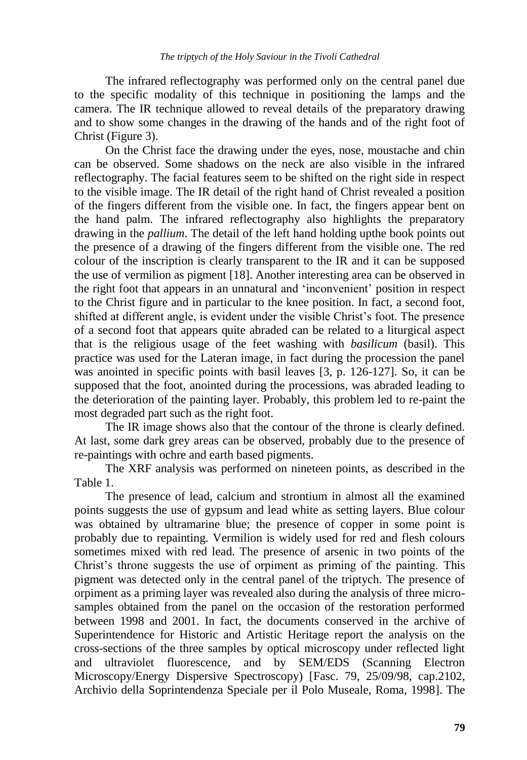The infrared reflectography was performed only on the central panel due to the specific modality of this technique in positioning the lamps and the camera. The IR technique allowed to reveal details of the preparatory drawing and to show some changes in the drawing of the hands and of the right foot of Christ (Figure 3).

On the Christ face the drawing under the eyes, nose, moustache and chin can be observed. Some shadows on the neck are also visible in the infrared reflectography. The facial features seem to be shifted on the right side in respect to the visible image. The IR detail of the right hand of Christ revealed a position of the fingers different from the visible one. In fact, the fingers appear bent on the hand palm. The infrared reflectography also highlights the preparatory drawing in the *pallium*. The detail of the left hand holding upthe book points out the presence of a drawing of the fingers different from the visible one. The red colour of the inscription is clearly transparent to the IR and it can be supposed the use of vermilion as pigment [18]. Another interesting area can be observed in the right foot that appears in an unnatural and "inconvenient" position in respect to the Christ figure and in particular to the knee position. In fact, a second foot, shifted at different angle, is evident under the visible Christ"s foot. The presence of a second foot that appears quite abraded can be related to a liturgical aspect that is the religious usage of the feet washing with *basilicum* (basil). This practice was used for the Lateran image, in fact during the procession the panel was anointed in specific points with basil leaves [3, p. 126-127]. So, it can be supposed that the foot, anointed during the processions, was abraded leading to the deterioration of the painting layer. Probably, this problem led to re-paint the most degraded part such as the right foot.

The IR image shows also that the contour of the throne is clearly defined. At last, some dark grey areas can be observed, probably due to the presence of re-paintings with ochre and earth based pigments.

The XRF analysis was performed on nineteen points, as described in the Table 1.

The presence of lead, calcium and strontium in almost all the examined points suggests the use of gypsum and lead white as setting layers. Blue colour was obtained by ultramarine blue; the presence of copper in some point is probably due to repainting. Vermilion is widely used for red and flesh colours sometimes mixed with red lead. The presence of arsenic in two points of the Christ's throne suggests the use of orpiment as priming of the painting. This pigment was detected only in the central panel of the triptych. The presence of orpiment as a priming layer was revealed also during the analysis of three microsamples obtained from the panel on the occasion of the restoration performed between 1998 and 2001. In fact, the documents conserved in the archive of Superintendence for Historic and Artistic Heritage report the analysis on the cross-sections of the three samples by optical microscopy under reflected light and ultraviolet fluorescence, and by SEM/EDS (Scanning Electron Microscopy/Energy Dispersive Spectroscopy) [Fasc. 79, 25/09/98, cap.2102, Archivio della Soprintendenza Speciale per il Polo Museale, Roma, 1998]. The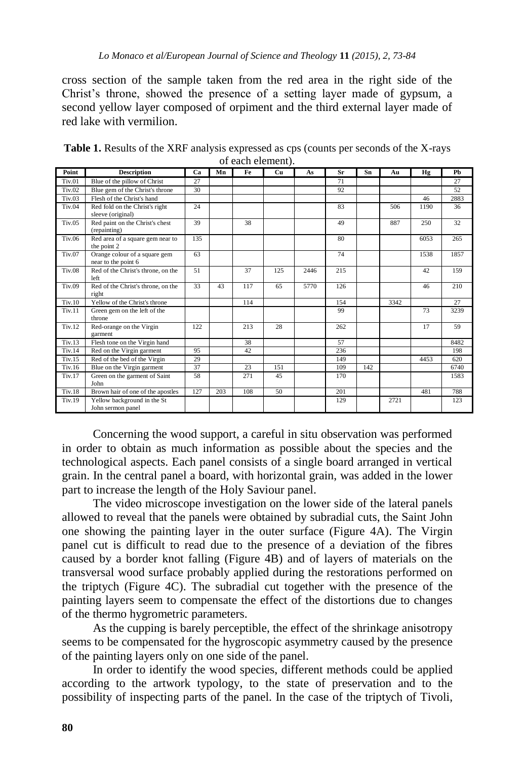cross section of the sample taken from the red area in the right side of the Christ"s throne, showed the presence of a setting layer made of gypsum, a second yellow layer composed of orpiment and the third external layer made of red lake with vermilion.

| Point         | <b>Description</b>                                   | Cа  | Mn  | Fe  | Cu  | As   | Sr  | Sn  | Au   | Hg   | Ph   |
|---------------|------------------------------------------------------|-----|-----|-----|-----|------|-----|-----|------|------|------|
| Tiv.01        | Blue of the pillow of Christ                         | 27  |     |     |     |      | 71  |     |      |      | 27   |
| Tiv.02        | Blue gem of the Christ's throne                      | 30  |     |     |     |      | 92  |     |      |      | 52   |
| Tiv.03        | Flesh of the Christ's hand                           |     |     |     |     |      |     |     |      | 46   | 2883 |
| <b>Tiv.04</b> | Red fold on the Christ's right<br>sleeve (original)  | 24  |     |     |     |      | 83  |     | 506  | 1190 | 36   |
| Tiv.05        | Red paint on the Christ's chest<br>(repainting)      | 39  |     | 38  |     |      | 49  |     | 887  | 250  | 32   |
| Tiv.06        | Red area of a square gem near to<br>the point 2      | 135 |     |     |     |      | 80  |     |      | 6053 | 265  |
| Tiv.07        | Orange colour of a square gem<br>near to the point 6 | 63  |     |     |     |      | 74  |     |      | 1538 | 1857 |
| <b>Tiv.08</b> | Red of the Christ's throne, on the<br>left           | 51  |     | 37  | 125 | 2446 | 215 |     |      | 42   | 159  |
| Tiv.09        | Red of the Christ's throne, on the<br>right          | 33  | 43  | 117 | 65  | 5770 | 126 |     |      | 46   | 210  |
| Tiv.10        | Yellow of the Christ's throne                        |     |     | 114 |     |      | 154 |     | 3342 |      | 27   |
| Tiv.11        | Green gem on the left of the<br>throne               |     |     |     |     |      | 99  |     |      | 73   | 3239 |
| Tiv.12        | Red-orange on the Virgin<br>garment                  | 122 |     | 213 | 28  |      | 262 |     |      | 17   | 59   |
| Tiv.13        | Flesh tone on the Virgin hand                        |     |     | 38  |     |      | 57  |     |      |      | 8482 |
| Tiv.14        | Red on the Virgin garment                            | 95  |     | 42  |     |      | 236 |     |      |      | 198  |
| Tiv.15        | Red of the bed of the Virgin                         | 29  |     |     |     |      | 149 |     |      | 4453 | 620  |
| Tiv.16        | Blue on the Virgin garment                           | 37  |     | 23  | 151 |      | 109 | 142 |      |      | 6740 |
| Tiv.17        | Green on the garment of Saint<br>John                | 58  |     | 271 | 45  |      | 170 |     |      |      | 1583 |
| <b>Tiv.18</b> | Brown hair of one of the apostles                    | 127 | 203 | 108 | 50  |      | 201 |     |      | 481  | 788  |
| Tiv.19        | Yellow background in the St<br>John sermon panel     |     |     |     |     |      | 129 |     | 2721 |      | 123  |

**Table 1.** Results of the XRF analysis expressed as cps (counts per seconds of the X-rays of each element).

Concerning the wood support, a careful in situ observation was performed in order to obtain as much information as possible about the species and the technological aspects. Each panel consists of a single board arranged in vertical grain. In the central panel a board, with horizontal grain, was added in the lower part to increase the length of the Holy Saviour panel.

The video microscope investigation on the lower side of the lateral panels allowed to reveal that the panels were obtained by subradial cuts, the Saint John one showing the painting layer in the outer surface (Figure 4A). The Virgin panel cut is difficult to read due to the presence of a deviation of the fibres caused by a border knot falling (Figure 4B) and of layers of materials on the transversal wood surface probably applied during the restorations performed on the triptych (Figure 4C). The subradial cut together with the presence of the painting layers seem to compensate the effect of the distortions due to changes of the thermo hygrometric parameters.

As the cupping is barely perceptible, the effect of the shrinkage anisotropy seems to be compensated for the hygroscopic asymmetry caused by the presence of the painting layers only on one side of the panel.

In order to identify the wood species, different methods could be applied according to the artwork typology, to the state of preservation and to the possibility of inspecting parts of the panel. In the case of the triptych of Tivoli,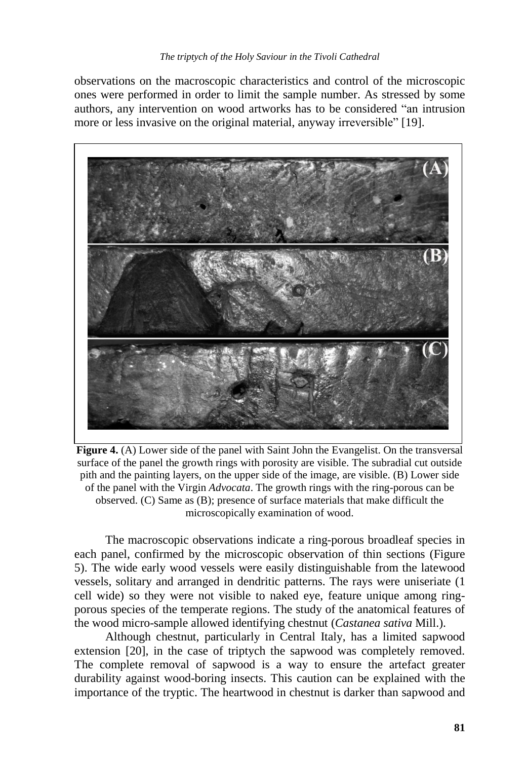observations on the macroscopic characteristics and control of the microscopic ones were performed in order to limit the sample number. As stressed by some authors, any intervention on wood artworks has to be considered "an intrusion more or less invasive on the original material, anyway irreversible" [19].



**Figure 4.** (A) Lower side of the panel with Saint John the Evangelist. On the transversal surface of the panel the growth rings with porosity are visible. The subradial cut outside pith and the painting layers, on the upper side of the image, are visible. (B) Lower side of the panel with the Virgin *Advocata*. The growth rings with the ring-porous can be observed. (C) Same as (B); presence of surface materials that make difficult the microscopically examination of wood.

The macroscopic observations indicate a ring-porous broadleaf species in each panel, confirmed by the microscopic observation of thin sections (Figure 5). The wide early wood vessels were easily distinguishable from the latewood vessels, solitary and arranged in dendritic patterns. The rays were uniseriate (1 cell wide) so they were not visible to naked eye, feature unique among ringporous species of the temperate regions. The study of the anatomical features of the wood micro-sample allowed identifying chestnut (*Castanea sativa* Mill.).

Although chestnut, particularly in Central Italy, has a limited sapwood extension [20], in the case of triptych the sapwood was completely removed. The complete removal of sapwood is a way to ensure the artefact greater durability against wood-boring insects. This caution can be explained with the importance of the tryptic. The heartwood in chestnut is darker than sapwood and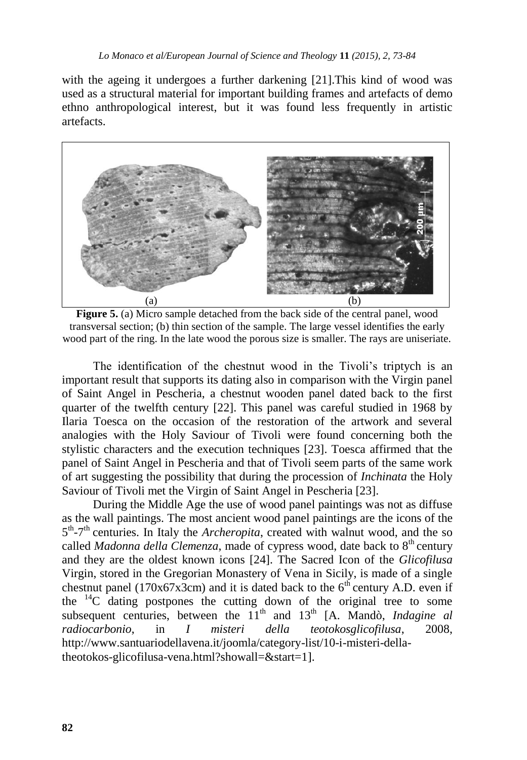with the ageing it undergoes a further darkening [21].This kind of wood was used as a structural material for important building frames and artefacts of demo ethno anthropological interest, but it was found less frequently in artistic artefacts.



**Figure 5.** (a) Micro sample detached from the back side of the central panel, wood transversal section; (b) thin section of the sample. The large vessel identifies the early wood part of the ring. In the late wood the porous size is smaller. The rays are uniseriate.

The identification of the chestnut wood in the Tivoli"s triptych is an important result that supports its dating also in comparison with the Virgin panel of Saint Angel in Pescheria, a chestnut wooden panel dated back to the first quarter of the twelfth century [22]. This panel was careful studied in 1968 by Ilaria Toesca on the occasion of the restoration of the artwork and several analogies with the Holy Saviour of Tivoli were found concerning both the stylistic characters and the execution techniques [23]. Toesca affirmed that the panel of Saint Angel in Pescheria and that of Tivoli seem parts of the same work of art suggesting the possibility that during the procession of *Inchinata* the Holy Saviour of Tivoli met the Virgin of Saint Angel in Pescheria [23].

During the Middle Age the use of wood panel paintings was not as diffuse as the wall paintings. The most ancient wood panel paintings are the icons of the 5<sup>th</sup>-7<sup>th</sup> centuries. In Italy the *Archeropita*, created with walnut wood, and the so called *Madonna della Clemenza*, made of cypress wood, date back to 8<sup>th</sup> century and they are the oldest known icons [24]. The Sacred Icon of the *Glicofilusa* Virgin, stored in the Gregorian Monastery of Vena in Sicily, is made of a single chestnut panel (170x67x3cm) and it is dated back to the  $6<sup>th</sup>$  century A.D. even if the  $^{14}$ C dating postpones the cutting down of the original tree to some subsequent centuries, between the  $11<sup>th</sup>$  and  $13<sup>th</sup>$  [A. Mandò, *Indagine al radiocarbonio*, in *I misteri della teotokosglicofilusa*, 2008, http://www.santuariodellavena.it/joomla/category-list/10-i-misteri-dellatheotokos-glicofilusa-vena.html?showall=&start=1].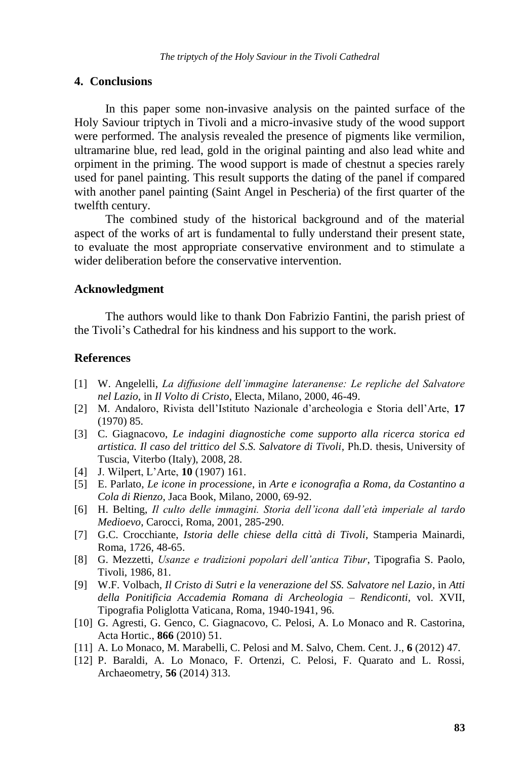#### **4. Conclusions**

In this paper some non-invasive analysis on the painted surface of the Holy Saviour triptych in Tivoli and a micro-invasive study of the wood support were performed. The analysis revealed the presence of pigments like vermilion, ultramarine blue, red lead, gold in the original painting and also lead white and orpiment in the priming. The wood support is made of chestnut a species rarely used for panel painting. This result supports the dating of the panel if compared with another panel painting (Saint Angel in Pescheria) of the first quarter of the twelfth century.

The combined study of the historical background and of the material aspect of the works of art is fundamental to fully understand their present state, to evaluate the most appropriate conservative environment and to stimulate a wider deliberation before the conservative intervention.

#### **Acknowledgment**

The authors would like to thank Don Fabrizio Fantini, the parish priest of the Tivoli"s Cathedral for his kindness and his support to the work.

#### **References**

- [1] W. Angelelli, *La diffusione dell'immagine lateranense: Le repliche del Salvatore nel Lazio*, in *Il Volto di Cristo*, Electa, Milano, 2000, 46-49.
- [2] M. Andaloro, Rivista dell"Istituto Nazionale d"archeologia e Storia dell"Arte, **17** (1970) 85.
- [3] C. Giagnacovo, *Le indagini diagnostiche come supporto alla ricerca storica ed artistica. Il caso del trittico del S.S. Salvatore di Tivoli*, Ph.D. thesis, University of Tuscia, Viterbo (Italy), 2008, 28.
- [4] J. Wilpert, L"Arte, **10** (1907) 161.
- [5] E. Parlato, *Le icone in processione*, in *Arte e iconografia a Roma, da Costantino a Cola di Rienzo*, Jaca Book, Milano, 2000, 69-92.
- [6] H. Belting, *Il culto delle immagini. Storia dell'icona dall'età imperiale al tardo Medioevo*, Carocci, Roma, 2001, 285-290.
- [7] G.C. Crocchiante, *Istoria delle chiese della città di Tivoli*, Stamperia Mainardi, Roma, 1726, 48-65.
- [8] G. Mezzetti, *Usanze e tradizioni popolari dell'antica Tibur*, Tipografia S. Paolo, Tivoli, 1986, 81.
- [9] W.F. Volbach, *Il Cristo di Sutri e la venerazione del SS. Salvatore nel Lazio*, in *Atti della Ponitificia Accademia Romana di Archeologia – Rendiconti,* vol. XVII, Tipografia Poliglotta Vaticana, Roma, 1940-1941, 96.
- [10] G. Agresti, G. Genco, C. Giagnacovo, C. Pelosi, A. Lo Monaco and R. Castorina, Acta Hortic., **866** (2010) 51.
- [11] A. Lo Monaco, M. Marabelli, C. Pelosi and M. Salvo, Chem. Cent. J., **6** (2012) 47.
- [12] P. Baraldi, A. Lo Monaco, F. Ortenzi, C. Pelosi, F. Quarato and L. Rossi, Archaeometry, **56** (2014) 313.